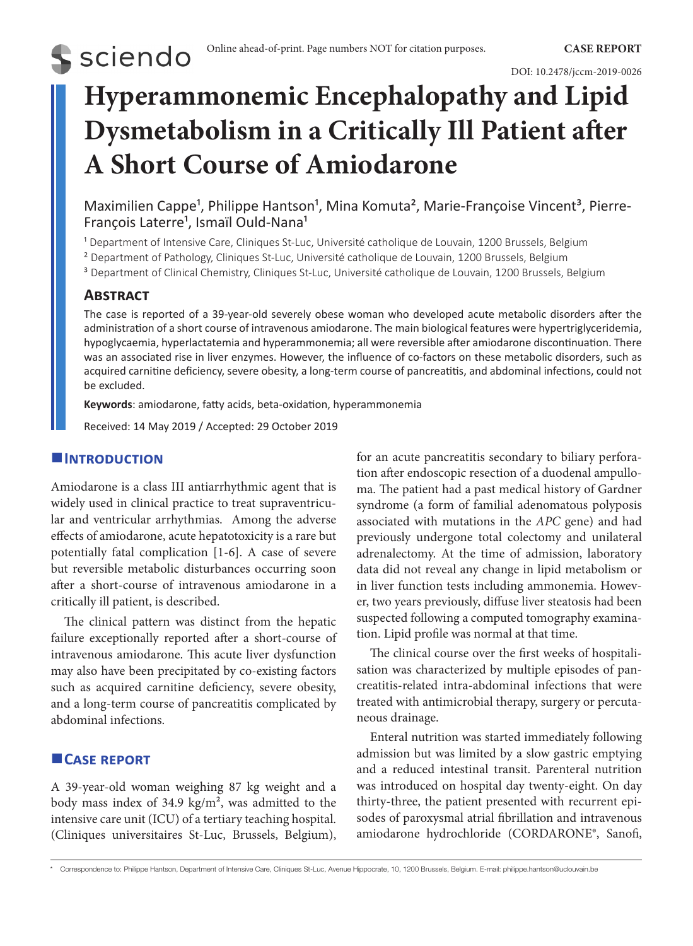**S** sciendo

# **Hyperammonemic Encephalopathy and Lipid Dysmetabolism in a Critically Ill Patient after A Short Course of Amiodarone**

Maximilien Cappe<sup>1</sup>, Philippe Hantson<sup>1</sup>, Mina Komuta<sup>2</sup>, Marie-Françoise Vincent<sup>3</sup>, Pierre-François Laterre<sup>1</sup>, Ismaïl Ould-Nana<sup>1</sup>

<sup>1</sup> Department of Intensive Care, Cliniques St-Luc, Université catholique de Louvain, 1200 Brussels, Belgium

² Department of Pathology, Cliniques St-Luc, Université catholique de Louvain, 1200 Brussels, Belgium

<sup>3</sup> Department of Clinical Chemistry, Cliniques St-Luc, Université catholique de Louvain, 1200 Brussels, Belgium

# **Abstract**

The case is reported of a 39-year-old severely obese woman who developed acute metabolic disorders after the administration of a short course of intravenous amiodarone. The main biological features were hypertriglyceridemia, hypoglycaemia, hyperlactatemia and hyperammonemia; all were reversible after amiodarone discontinuation. There was an associated rise in liver enzymes. However, the influence of co-factors on these metabolic disorders, such as acquired carnitine deficiency, severe obesity, a long-term course of pancreatitis, and abdominal infections, could not be excluded.

**Keywords**: amiodarone, fatty acids, beta-oxidation, hyperammonemia

Received: 14 May 2019 / Accepted: 29 October 2019

## **Introduction**

Amiodarone is a class III antiarrhythmic agent that is widely used in clinical practice to treat supraventricular and ventricular arrhythmias. Among the adverse effects of amiodarone, acute hepatotoxicity is a rare but potentially fatal complication [1-6]. A case of severe but reversible metabolic disturbances occurring soon after a short-course of intravenous amiodarone in a critically ill patient, is described.

The clinical pattern was distinct from the hepatic failure exceptionally reported after a short-course of intravenous amiodarone. This acute liver dysfunction may also have been precipitated by co-existing factors such as acquired carnitine deficiency, severe obesity, and a long-term course of pancreatitis complicated by abdominal infections.

# **Case report**

A 39-year-old woman weighing 87 kg weight and a body mass index of 34.9 kg/m<sup>2</sup>, was admitted to the intensive care unit (ICU) of a tertiary teaching hospital. (Cliniques universitaires St-Luc, Brussels, Belgium), for an acute pancreatitis secondary to biliary perforation after endoscopic resection of a duodenal ampulloma. The patient had a past medical history of Gardner syndrome (a form of familial adenomatous polyposis associated with mutations in the *APC* gene) and had previously undergone total colectomy and unilateral adrenalectomy. At the time of admission, laboratory data did not reveal any change in lipid metabolism or in liver function tests including ammonemia. However, two years previously, diffuse liver steatosis had been suspected following a computed tomography examination. Lipid profile was normal at that time.

The clinical course over the first weeks of hospitalisation was characterized by multiple episodes of pancreatitis-related intra-abdominal infections that were treated with antimicrobial therapy, surgery or percutaneous drainage.

Enteral nutrition was started immediately following admission but was limited by a slow gastric emptying and a reduced intestinal transit. Parenteral nutrition was introduced on hospital day twenty-eight. On day thirty-three, the patient presented with recurrent episodes of paroxysmal atrial fibrillation and intravenous amiodarone hydrochloride (CORDARONE®, Sanofi,

<sup>\*</sup> Correspondence to: Philippe Hantson, Department of Intensive Care, Cliniques St-Luc, Avenue Hippocrate, 10, 1200 Brussels, Belgium. E-mail: [philippe.hantson@uclouvain.be](mailto:philippe.hantson@uclouvain.be)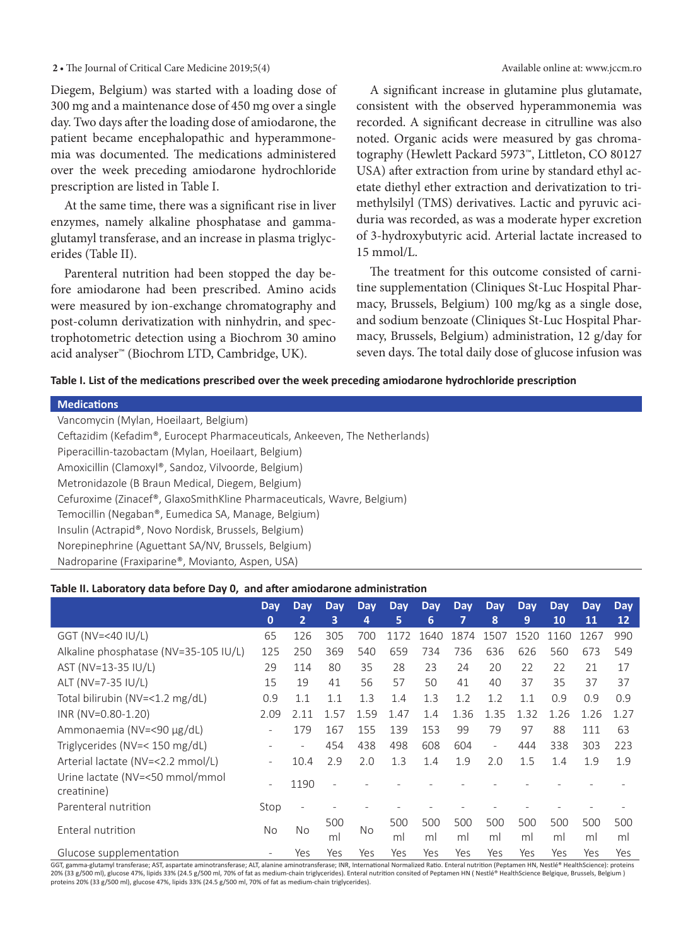#### 2 • The Journal of Critical Care Medicine 2019;5(4) **Available online at: www.jccm.ro**

Diegem, Belgium) was started with a loading dose of 300 mg and a maintenance dose of 450 mg over a single day. Two days after the loading dose of amiodarone, the patient became encephalopathic and hyperammonemia was documented. The medications administered over the week preceding amiodarone hydrochloride prescription are listed in Table I.

At the same time, there was a significant rise in liver enzymes, namely alkaline phosphatase and gammaglutamyl transferase, and an increase in plasma triglycerides (Table II).

Parenteral nutrition had been stopped the day before amiodarone had been prescribed. Amino acids were measured by ion-exchange chromatography and post-column derivatization with ninhydrin, and spectrophotometric detection using a Biochrom 30 amino acid analyser™ (Biochrom LTD, Cambridge, UK).

A significant increase in glutamine plus glutamate, consistent with the observed hyperammonemia was recorded. A significant decrease in citrulline was also noted. Organic acids were measured by gas chromatography (Hewlett Packard 5973™, Littleton, CO 80127 USA) after extraction from urine by standard ethyl acetate diethyl ether extraction and derivatization to trimethylsilyl (TMS) derivatives. Lactic and pyruvic aciduria was recorded, as was a moderate hyper excretion of 3-hydroxybutyric acid. Arterial lactate increased to 15 mmol/L.

The treatment for this outcome consisted of carnitine supplementation (Cliniques St-Luc Hospital Pharmacy, Brussels, Belgium) 100 mg/kg as a single dose, and sodium benzoate (Cliniques St-Luc Hospital Pharmacy, Brussels, Belgium) administration, 12 g/day for seven days. The total daily dose of glucose infusion was

#### **Table I. List of the medications prescribed over the week preceding amiodarone hydrochloride prescription**

#### **Medications**

Vancomycin (Mylan, Hoeilaart, Belgium)

Ceftazidim (Kefadim®, Eurocept Pharmaceuticals, Ankeeven, The Netherlands) Piperacillin-tazobactam (Mylan, Hoeilaart, Belgium) Amoxicillin (Clamoxyl®, Sandoz, Vilvoorde, Belgium) Metronidazole (B Braun Medical, Diegem, Belgium) Cefuroxime (Zinacef®, GlaxoSmithKline Pharmaceuticals, Wavre, Belgium) Temocillin (Negaban®, Eumedica SA, Manage, Belgium) Insulin (Actrapid®, Novo Nordisk, Brussels, Belgium) Norepinephrine (Aguettant SA/NV, Brussels, Belgium) Nadroparine (Fraxiparine®, Movianto, Aspen, USA)

#### **Table II. Laboratory data before Day 0, and after amiodarone administration**

|                                                | <b>Day</b><br>$\mathbf 0$ | <b>Day</b><br>$\overline{2}$ | <b>Day</b><br>3 | Day<br>4  | <b>Day</b><br>5. | <b>Day</b><br>6 | <b>Day</b><br>7 | Day<br>8                 | <b>Day</b><br>9 | Day<br>10 | Day<br>11 | <b>Day</b><br>12 |
|------------------------------------------------|---------------------------|------------------------------|-----------------|-----------|------------------|-----------------|-----------------|--------------------------|-----------------|-----------|-----------|------------------|
| GGT (NV=<40 $ U/L\rangle$                      | 65                        | 126                          | 305             | 700       | 1172             | 1640            | 1874            | 1507                     | 1520            | 1160      | 1267      | 990              |
| Alkaline phosphatase (NV=35-105 IU/L)          | 125                       | 250                          | 369             | 540       | 659              | 734             | 736             | 636                      | 626             | 560       | 673       | 549              |
| AST (NV=13-35 IU/L)                            | 29                        | 114                          | 80              | 35        | 28               | 23              | 24              | 20                       | 22              | 22        | 21        | 17               |
| ALT (NV=7-35 IU/L)                             | 15                        | 19                           | 41              | 56        | 57               | 50              | 41              | 40                       | 37              | 35        | 37        | 37               |
| Total bilirubin (NV=<1.2 mg/dL)                | 0.9                       | 1.1                          | 1.1             | 1.3       | 1.4              | 1.3             | 1.2             | 1.2                      | 1.1             | 0.9       | 0.9       | 0.9              |
| INR (NV=0.80-1.20)                             | 2.09                      | 2.11                         | 1.57            | 1.59      | 1.47             | 1.4             | 1.36            | 1.35                     | 1.32            | 1.26      | 1.26      | 1.27             |
| Ammonaemia (NV=<90 µg/dL)                      | $\overline{\phantom{a}}$  | 179                          | 167             | 155       | 139              | 153             | 99              | 79                       | 97              | 88        | 111       | 63               |
| Triglycerides (NV=< 150 mg/dL)                 |                           | $\overline{\phantom{0}}$     | 454             | 438       | 498              | 608             | 604             | $\overline{\phantom{a}}$ | 444             | 338       | 303       | 223              |
| Arterial lactate (NV=<2.2 mmol/L)              | $\overline{\phantom{a}}$  | 10.4                         | 2.9             | 2.0       | 1.3              | 1.4             | 1.9             | 2.0                      | 1.5             | 1.4       | 1.9       | 1.9              |
| Urine lactate (NV=<50 mmol/mmol<br>creatinine) | $\overline{\phantom{a}}$  | 1190                         |                 |           |                  |                 |                 |                          |                 |           |           |                  |
| Parenteral nutrition                           | Stop                      |                              |                 |           |                  |                 |                 |                          |                 |           |           |                  |
| Enteral nutrition                              | No                        | No.                          | 500<br>m        | <b>No</b> | 500<br>ml        | 500<br>ml       | 500<br>ml       | 500<br>ml                | 500<br>ml       | 500<br>ml | 500<br>ml | 500<br>ml        |
| Glucose supplementation                        |                           | Yes                          | Yes             | Yes       | Yes              | Yes             | Yes             | Yes                      | Yes             | Yes       | Yes       | Yes              |

GGT, gamma-glutamyl transferase; AST, aspartate aminotransferase; ALT, alanine aminotransferase; INR, International Normalized Ratio. Enteral nutrition (Peptamen HN, Nestlé® HealthScience): proteins 20% (33 g/500 ml), glucose 47%, lipids 33% (24.5 g/500 ml, 70% of fat as medium-chain triglycerides). Enteral nutrition consited of Peptamen HN ( Nestlé® HealthScience Belgique, Brussels, Belgium ) proteins 20% (33 g/500 ml), glucose 47%, lipids 33% (24.5 g/500 ml, 70% of fat as medium-chain triglycerides).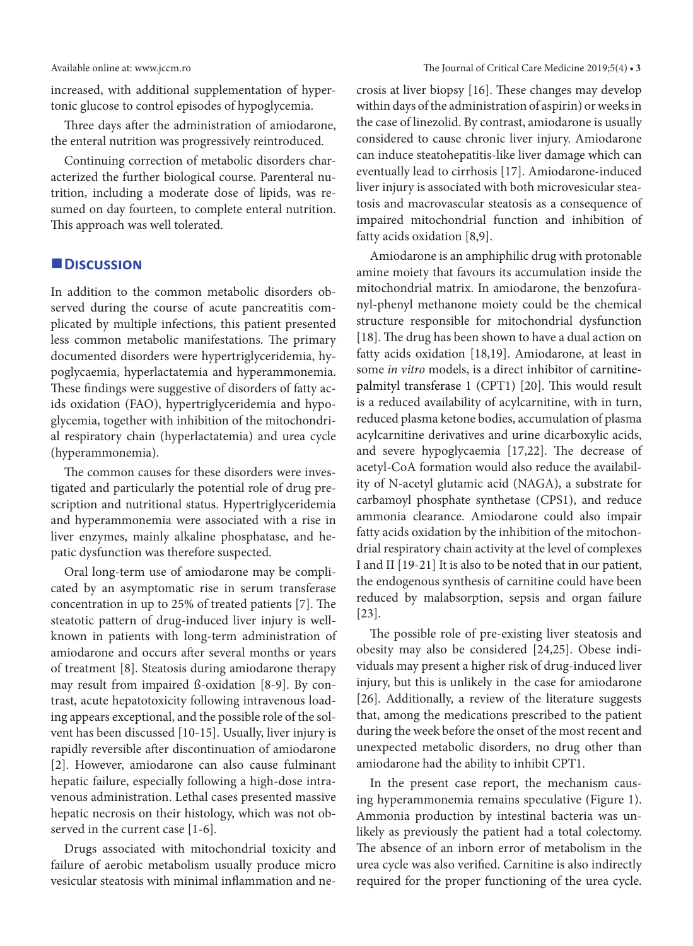increased, with additional supplementation of hypertonic glucose to control episodes of hypoglycemia.

Three days after the administration of amiodarone, the enteral nutrition was progressively reintroduced.

Continuing correction of metabolic disorders characterized the further biological course. Parenteral nutrition, including a moderate dose of lipids, was resumed on day fourteen, to complete enteral nutrition. This approach was well tolerated.

## **Discussion**

In addition to the common metabolic disorders observed during the course of acute pancreatitis complicated by multiple infections, this patient presented less common metabolic manifestations. The primary documented disorders were hypertriglyceridemia, hypoglycaemia, hyperlactatemia and hyperammonemia. These findings were suggestive of disorders of fatty acids oxidation (FAO), hypertriglyceridemia and hypoglycemia, together with inhibition of the mitochondrial respiratory chain (hyperlactatemia) and urea cycle (hyperammonemia).

The common causes for these disorders were investigated and particularly the potential role of drug prescription and nutritional status. Hypertriglyceridemia and hyperammonemia were associated with a rise in liver enzymes, mainly alkaline phosphatase, and hepatic dysfunction was therefore suspected.

Oral long-term use of amiodarone may be complicated by an asymptomatic rise in serum transferase concentration in up to 25% of treated patients [7]. The steatotic pattern of drug-induced liver injury is wellknown in patients with long-term administration of amiodarone and occurs after several months or years of treatment [8]. Steatosis during amiodarone therapy may result from impaired ß-oxidation [8-9]. By contrast, acute hepatotoxicity following intravenous loading appears exceptional, and the possible role of the solvent has been discussed [10-15]. Usually, liver injury is rapidly reversible after discontinuation of amiodarone [2]. However, amiodarone can also cause fulminant hepatic failure, especially following a high-dose intravenous administration. Lethal cases presented massive hepatic necrosis on their histology, which was not observed in the current case [1-6].

Drugs associated with mitochondrial toxicity and failure of aerobic metabolism usually produce micro vesicular steatosis with minimal inflammation and necrosis at liver biopsy [16]. These changes may develop within days of the administration of aspirin) or weeks in the case of linezolid. By contrast, amiodarone is usually considered to cause chronic liver injury. Amiodarone can induce steatohepatitis-like liver damage which can eventually lead to cirrhosis [17]. Amiodarone-induced liver injury is associated with both microvesicular steatosis and macrovascular steatosis as a consequence of impaired mitochondrial function and inhibition of fatty acids oxidation [8,9].

Amiodarone is an amphiphilic drug with protonable amine moiety that favours its accumulation inside the mitochondrial matrix. In amiodarone, the benzofuranyl-phenyl methanone moiety could be the chemical structure responsible for mitochondrial dysfunction [18]. The drug has been shown to have a dual action on fatty acids oxidation [18,19]. Amiodarone, at least in some *in vitro* models, is a direct inhibitor of carnitinepalmityl transferase 1 (CPT1) [20]. This would result is a reduced availability of acylcarnitine, with in turn, reduced plasma ketone bodies, accumulation of plasma acylcarnitine derivatives and urine dicarboxylic acids, and severe hypoglycaemia [17,22]. The decrease of acetyl-CoA formation would also reduce the availability of N-acetyl glutamic acid (NAGA), a substrate for carbamoyl phosphate synthetase (CPS1), and reduce ammonia clearance. Amiodarone could also impair fatty acids oxidation by the inhibition of the mitochondrial respiratory chain activity at the level of complexes I and II [19-21] It is also to be noted that in our patient, the endogenous synthesis of carnitine could have been reduced by malabsorption, sepsis and organ failure [23].

The possible role of pre-existing liver steatosis and obesity may also be considered [24,25]. Obese individuals may present a higher risk of drug-induced liver injury, but this is unlikely in the case for amiodarone [26]. Additionally, a review of the literature suggests that, among the medications prescribed to the patient during the week before the onset of the most recent and unexpected metabolic disorders, no drug other than amiodarone had the ability to inhibit CPT1.

In the present case report, the mechanism causing hyperammonemia remains speculative (Figure 1). Ammonia production by intestinal bacteria was unlikely as previously the patient had a total colectomy. The absence of an inborn error of metabolism in the urea cycle was also verified. Carnitine is also indirectly required for the proper functioning of the urea cycle.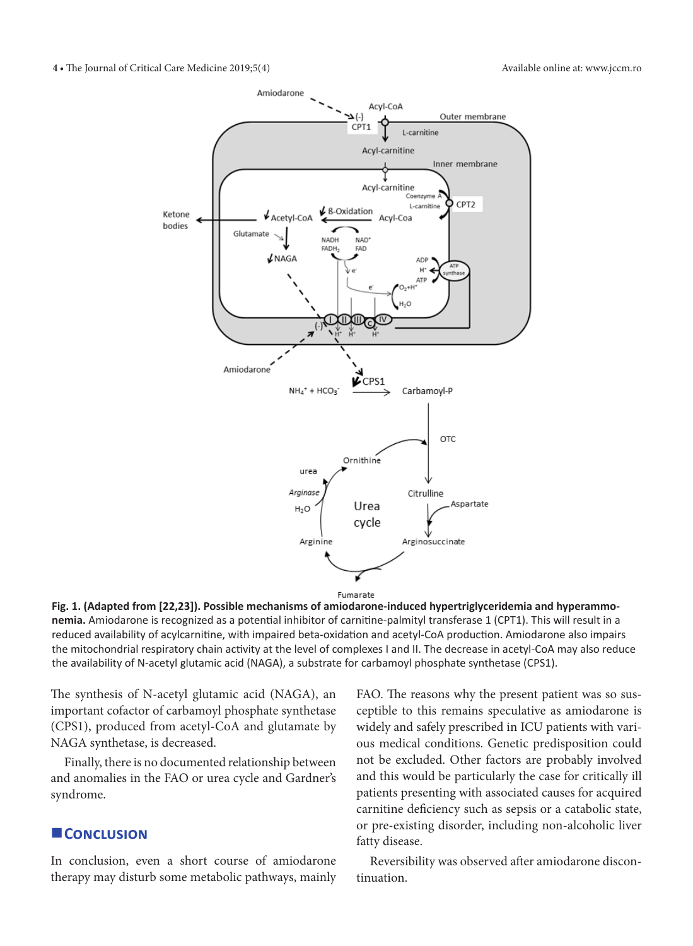

**Fig. 1. (Adapted from [22,23]). Possible mechanisms of amiodarone-induced hypertriglyceridemia and hyperammonemia.** Amiodarone is recognized as a potential inhibitor of carnitine-palmityl transferase 1 (CPT1). This will result in a reduced availability of acylcarnitine, with impaired beta-oxidation and acetyl-CoA production. Amiodarone also impairs the mitochondrial respiratory chain activity at the level of complexes I and II. The decrease in acetyl-CoA may also reduce the availability of N-acetyl glutamic acid (NAGA), a substrate for carbamoyl phosphate synthetase (CPS1).

The synthesis of N-acetyl glutamic acid (NAGA), an important cofactor of carbamoyl phosphate synthetase (CPS1), produced from acetyl-CoA and glutamate by NAGA synthetase, is decreased.

Finally, there is no documented relationship between and anomalies in the FAO or urea cycle and Gardner's syndrome.

## **L** CONCLUSION

In conclusion, even a short course of amiodarone therapy may disturb some metabolic pathways, mainly FAO. The reasons why the present patient was so susceptible to this remains speculative as amiodarone is widely and safely prescribed in ICU patients with various medical conditions. Genetic predisposition could not be excluded. Other factors are probably involved and this would be particularly the case for critically ill patients presenting with associated causes for acquired carnitine deficiency such as sepsis or a catabolic state, or pre-existing disorder, including non-alcoholic liver fatty disease.

Reversibility was observed after amiodarone discontinuation.